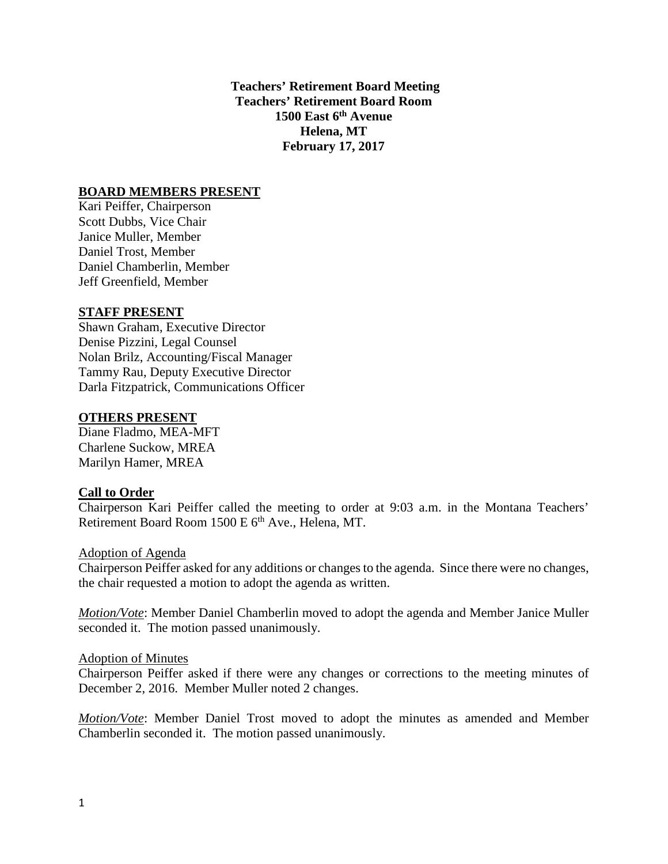**Teachers' Retirement Board Meeting Teachers' Retirement Board Room 1500 East 6th Avenue Helena, MT February 17, 2017**

### **BOARD MEMBERS PRESENT**

Kari Peiffer, Chairperson Scott Dubbs, Vice Chair Janice Muller, Member Daniel Trost, Member Daniel Chamberlin, Member Jeff Greenfield, Member

#### **STAFF PRESENT**

Shawn Graham, Executive Director Denise Pizzini, Legal Counsel Nolan Brilz, Accounting/Fiscal Manager Tammy Rau, Deputy Executive Director Darla Fitzpatrick, Communications Officer

#### **OTHERS PRESENT**

Diane Fladmo, MEA-MFT Charlene Suckow, MREA Marilyn Hamer, MREA

#### **Call to Order**

Chairperson Kari Peiffer called the meeting to order at 9:03 a.m. in the Montana Teachers' Retirement Board Room 1500 E 6<sup>th</sup> Ave., Helena, MT.

#### Adoption of Agenda

Chairperson Peiffer asked for any additions or changes to the agenda. Since there were no changes, the chair requested a motion to adopt the agenda as written.

*Motion/Vote*: Member Daniel Chamberlin moved to adopt the agenda and Member Janice Muller seconded it. The motion passed unanimously.

#### Adoption of Minutes

Chairperson Peiffer asked if there were any changes or corrections to the meeting minutes of December 2, 2016. Member Muller noted 2 changes.

*Motion/Vote*: Member Daniel Trost moved to adopt the minutes as amended and Member Chamberlin seconded it. The motion passed unanimously.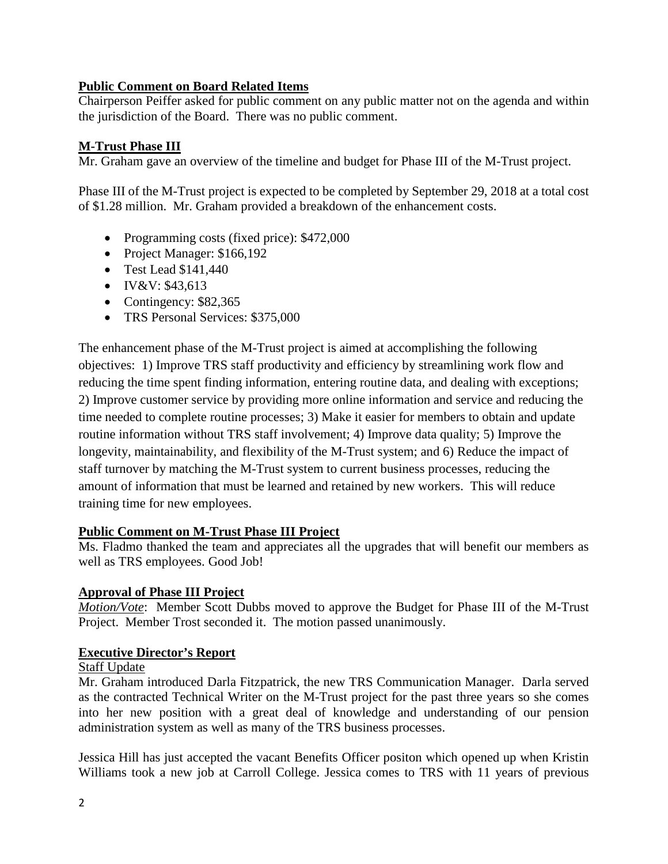## **Public Comment on Board Related Items**

Chairperson Peiffer asked for public comment on any public matter not on the agenda and within the jurisdiction of the Board. There was no public comment.

# **M-Trust Phase III**

Mr. Graham gave an overview of the timeline and budget for Phase III of the M-Trust project.

Phase III of the M-Trust project is expected to be completed by September 29, 2018 at a total cost of \$1.28 million. Mr. Graham provided a breakdown of the enhancement costs.

- Programming costs (fixed price): \$472,000
- Project Manager: \$166,192
- Test Lead \$141,440
- IV&V: \$43,613
- Contingency: \$82,365
- TRS Personal Services: \$375,000

The enhancement phase of the M-Trust project is aimed at accomplishing the following objectives: 1) Improve TRS staff productivity and efficiency by streamlining work flow and reducing the time spent finding information, entering routine data, and dealing with exceptions; 2) Improve customer service by providing more online information and service and reducing the time needed to complete routine processes; 3) Make it easier for members to obtain and update routine information without TRS staff involvement; 4) Improve data quality; 5) Improve the longevity, maintainability, and flexibility of the M-Trust system; and 6) Reduce the impact of staff turnover by matching the M-Trust system to current business processes, reducing the amount of information that must be learned and retained by new workers. This will reduce training time for new employees.

### **Public Comment on M-Trust Phase III Project**

Ms. Fladmo thanked the team and appreciates all the upgrades that will benefit our members as well as TRS employees. Good Job!

### **Approval of Phase III Project**

*Motion/Vote*: Member Scott Dubbs moved to approve the Budget for Phase III of the M-Trust Project. Member Trost seconded it. The motion passed unanimously.

### **Executive Director's Report**

#### Staff Update

Mr. Graham introduced Darla Fitzpatrick, the new TRS Communication Manager. Darla served as the contracted Technical Writer on the M-Trust project for the past three years so she comes into her new position with a great deal of knowledge and understanding of our pension administration system as well as many of the TRS business processes.

Jessica Hill has just accepted the vacant Benefits Officer positon which opened up when Kristin Williams took a new job at Carroll College. Jessica comes to TRS with 11 years of previous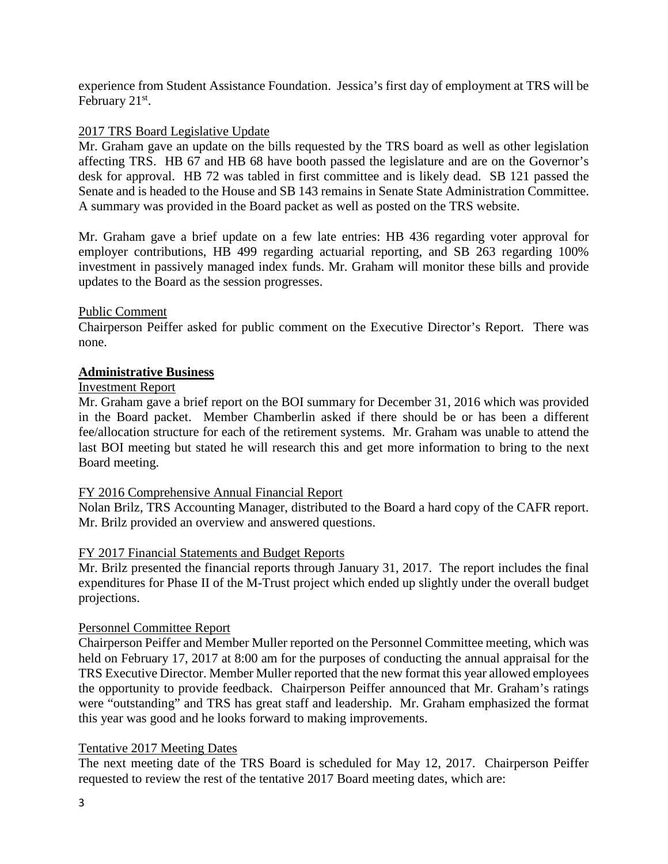experience from Student Assistance Foundation. Jessica's first day of employment at TRS will be February 21<sup>st</sup>.

## 2017 TRS Board Legislative Update

Mr. Graham gave an update on the bills requested by the TRS board as well as other legislation affecting TRS. HB 67 and HB 68 have booth passed the legislature and are on the Governor's desk for approval. HB 72 was tabled in first committee and is likely dead. SB 121 passed the Senate and is headed to the House and SB 143 remains in Senate State Administration Committee. A summary was provided in the Board packet as well as posted on the TRS website.

Mr. Graham gave a brief update on a few late entries: HB 436 regarding voter approval for employer contributions, HB 499 regarding actuarial reporting, and SB 263 regarding 100% investment in passively managed index funds. Mr. Graham will monitor these bills and provide updates to the Board as the session progresses.

### Public Comment

Chairperson Peiffer asked for public comment on the Executive Director's Report. There was none.

### **Administrative Business**

### Investment Report

Mr. Graham gave a brief report on the BOI summary for December 31, 2016 which was provided in the Board packet. Member Chamberlin asked if there should be or has been a different fee/allocation structure for each of the retirement systems. Mr. Graham was unable to attend the last BOI meeting but stated he will research this and get more information to bring to the next Board meeting.

### FY 2016 Comprehensive Annual Financial Report

Nolan Brilz, TRS Accounting Manager, distributed to the Board a hard copy of the CAFR report. Mr. Brilz provided an overview and answered questions.

### FY 2017 Financial Statements and Budget Reports

Mr. Brilz presented the financial reports through January 31, 2017. The report includes the final expenditures for Phase II of the M-Trust project which ended up slightly under the overall budget projections.

### Personnel Committee Report

Chairperson Peiffer and Member Muller reported on the Personnel Committee meeting, which was held on February 17, 2017 at 8:00 am for the purposes of conducting the annual appraisal for the TRS Executive Director. Member Muller reported that the new format this year allowed employees the opportunity to provide feedback. Chairperson Peiffer announced that Mr. Graham's ratings were "outstanding" and TRS has great staff and leadership. Mr. Graham emphasized the format this year was good and he looks forward to making improvements.

### Tentative 2017 Meeting Dates

The next meeting date of the TRS Board is scheduled for May 12, 2017. Chairperson Peiffer requested to review the rest of the tentative 2017 Board meeting dates, which are: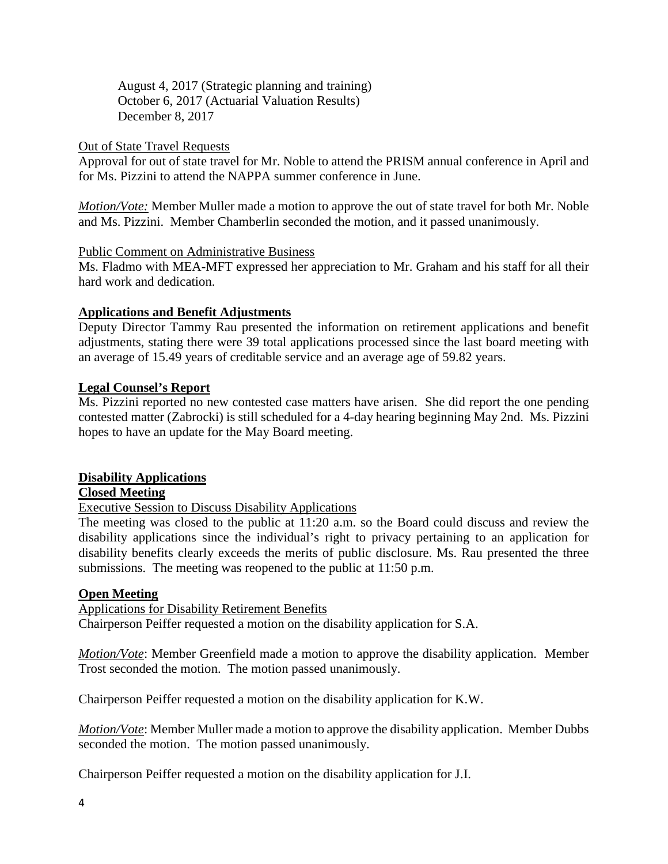August 4, 2017 (Strategic planning and training) October 6, 2017 (Actuarial Valuation Results) December 8, 2017

### Out of State Travel Requests

Approval for out of state travel for Mr. Noble to attend the PRISM annual conference in April and for Ms. Pizzini to attend the NAPPA summer conference in June.

*Motion/Vote:* Member Muller made a motion to approve the out of state travel for both Mr. Noble and Ms. Pizzini. Member Chamberlin seconded the motion, and it passed unanimously.

### Public Comment on Administrative Business

Ms. Fladmo with MEA-MFT expressed her appreciation to Mr. Graham and his staff for all their hard work and dedication.

### **Applications and Benefit Adjustments**

Deputy Director Tammy Rau presented the information on retirement applications and benefit adjustments, stating there were 39 total applications processed since the last board meeting with an average of 15.49 years of creditable service and an average age of 59.82 years.

### **Legal Counsel's Report**

Ms. Pizzini reported no new contested case matters have arisen. She did report the one pending contested matter (Zabrocki) is still scheduled for a 4-day hearing beginning May 2nd. Ms. Pizzini hopes to have an update for the May Board meeting.

### **Disability Applications**

### **Closed Meeting**

Executive Session to Discuss Disability Applications

The meeting was closed to the public at 11:20 a.m. so the Board could discuss and review the disability applications since the individual's right to privacy pertaining to an application for disability benefits clearly exceeds the merits of public disclosure. Ms. Rau presented the three submissions. The meeting was reopened to the public at 11:50 p.m.

### **Open Meeting**

Applications for Disability Retirement Benefits

Chairperson Peiffer requested a motion on the disability application for S.A.

*Motion/Vote*: Member Greenfield made a motion to approve the disability application. Member Trost seconded the motion. The motion passed unanimously.

Chairperson Peiffer requested a motion on the disability application for K.W.

*Motion/Vote*: Member Muller made a motion to approve the disability application. Member Dubbs seconded the motion. The motion passed unanimously.

Chairperson Peiffer requested a motion on the disability application for J.I.